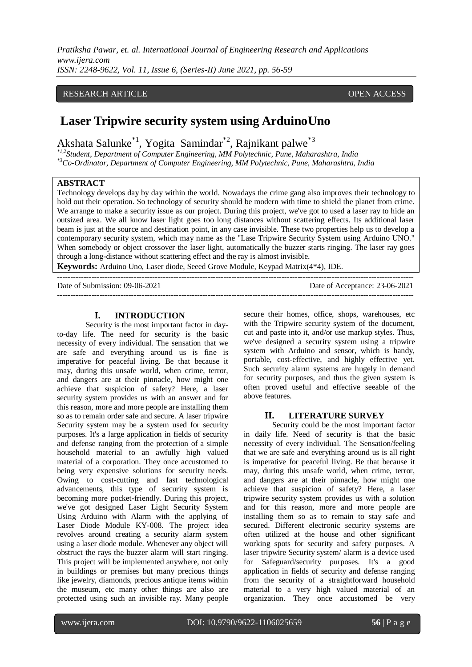# RESEARCH ARTICLE **CONTRACT ARTICLE** AND A SERVICE OPEN ACCESS

# **Laser Tripwire security system using ArduinoUno**

Akshata Salunke<sup>\*1</sup>, Yogita Samindar<sup>\*2</sup>, Rajnikant palwe<sup>\*3</sup>

*\*1,2Student, Department of Computer Engineering, MM Polytechnic, Pune, Maharashtra, India \*3Co-Ordinator, Department of Computer Engineering, MM Polytechnic, Pune, Maharashtra, India*

# **ABSTRACT**

Technology develops day by day within the world. Nowadays the crime gang also improves their technology to hold out their operation. So technology of security should be modern with time to shield the planet from crime. We arrange to make a security issue as our project. During this project, we've got to used a laser ray to hide an outsized area. We all know laser light goes too long distances without scattering effects. Its additional laser beam is just at the source and destination point, in any case invisible. These two properties help us to develop a contemporary security system, which may name as the "Lase Tripwire Security System using Arduino UNO." When somebody or object crossover the laser light, automatically the buzzer starts ringing. The laser ray goes through a long-distance without scattering effect and the ray is almost invisible.

**Keywords:** Arduino Uno, Laser diode, Seeed Grove Module, Keypad Matrix(4\*4), IDE. ---------------------------------------------------------------------------------------------------------------------------------------

Date of Submission: 09-06-2021 Date of Acceptance: 23-06-2021

---------------------------------------------------------------------------------------------------------------------------------------

#### **I. INTRODUCTION**

Security is the most important factor in dayto-day life. The need for security is the basic necessity of every individual. The sensation that we are safe and everything around us is fine is imperative for peaceful living. Be that because it may, during this unsafe world, when crime, terror, and dangers are at their pinnacle, how might one achieve that suspicion of safety? Here, a laser security system provides us with an answer and for this reason, more and more people are installing them so as to remain order safe and secure. A laser tripwire Security system may be a system used for security purposes. It's a large application in fields of security and defense ranging from the protection of a simple household material to an awfully high valued material of a corporation. They once accustomed to being very expensive solutions for security needs. Owing to cost-cutting and fast technological advancements, this type of security system is becoming more pocket-friendly. During this project, we've got designed Laser Light Security System Using Arduino with Alarm with the applying of Laser Diode Module KY-008. The project idea revolves around creating a security alarm system using a laser diode module. Whenever any object will obstruct the rays the buzzer alarm will start ringing. This project will be implemented anywhere, not only in buildings or premises but many precious things like jewelry, diamonds, precious antique items within the museum, etc many other things are also are protected using such an invisible ray. Many people

secure their homes, office, shops, warehouses, etc with the Tripwire security system of the document, cut and paste into it, and/or use markup styles. Thus, we've designed a security system using a tripwire system with Arduino and sensor, which is handy, portable, cost-effective, and highly effective yet. Such security alarm systems are hugely in demand for security purposes, and thus the given system is often proved useful and effective seeable of the above features.

#### **II. LITERATURE SURVEY**

Security could be the most important factor in daily life. Need of security is that the basic necessity of every individual. The Sensation/feeling that we are safe and everything around us is all right is imperative for peaceful living. Be that because it may, during this unsafe world, when crime, terror, and dangers are at their pinnacle, how might one achieve that suspicion of safety? Here, a laser tripwire security system provides us with a solution and for this reason, more and more people are installing them so as to remain to stay safe and secured. Different electronic security systems are often utilized at the house and other significant working spots for security and safety purposes. A laser tripwire Security system/ alarm is a device used for Safeguard/security purposes. It's a good application in fields of security and defense ranging from the security of a straightforward household material to a very high valued material of an organization. They once accustomed be very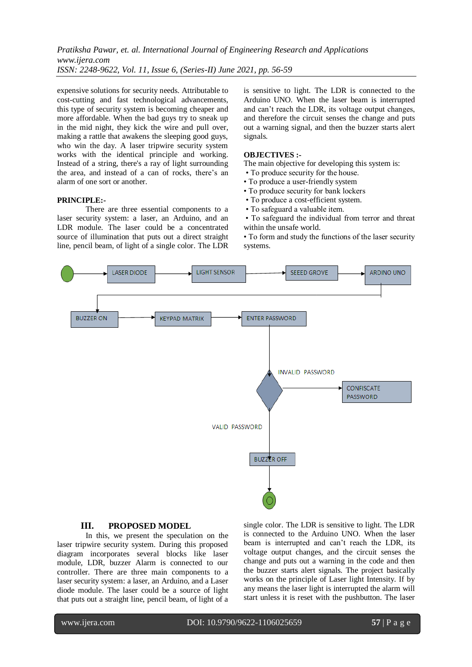expensive solutions for security needs. Attributable to cost-cutting and fast technological advancements, this type of security system is becoming cheaper and more affordable. When the bad guys try to sneak up in the mid night, they kick the wire and pull over, making a rattle that awakens the sleeping good guys, who win the day. A laser tripwire security system works with the identical principle and working. Instead of a string, there's a ray of light surrounding the area, and instead of a can of rocks, there's an alarm of one sort or another.

#### **PRINCIPLE:-**

There are three essential components to a laser security system: a laser, an Arduino, and an LDR module. The laser could be a concentrated source of illumination that puts out a direct straight line, pencil beam, of light of a single color. The LDR

is sensitive to light. The LDR is connected to the Arduino UNO. When the laser beam is interrupted and can't reach the LDR, its voltage output changes, and therefore the circuit senses the change and puts out a warning signal, and then the buzzer starts alert signals.

### **OBJECTIVES :-**

The main objective for developing this system is:

- To produce security for the house.
- To produce a user-friendly system
- To produce security for bank lockers
- To produce a cost-efficient system.
- To safeguard a valuable item.

• To safeguard the individual from terror and threat within the unsafe world.

• To form and study the functions of the laser security systems.



#### **III. PROPOSED MODEL**

In this, we present the speculation on the laser tripwire security system. During this proposed diagram incorporates several blocks like laser module, LDR, buzzer Alarm is connected to our controller. There are three main components to a laser security system: a laser, an Arduino, and a Laser diode module. The laser could be a source of light that puts out a straight line, pencil beam, of light of a

single color. The LDR is sensitive to light. The LDR is connected to the Arduino UNO. When the laser beam is interrupted and can't reach the LDR, its voltage output changes, and the circuit senses the change and puts out a warning in the code and then the buzzer starts alert signals. The project basically works on the principle of Laser light Intensity. If by any means the laser light is interrupted the alarm will start unless it is reset with the pushbutton. The laser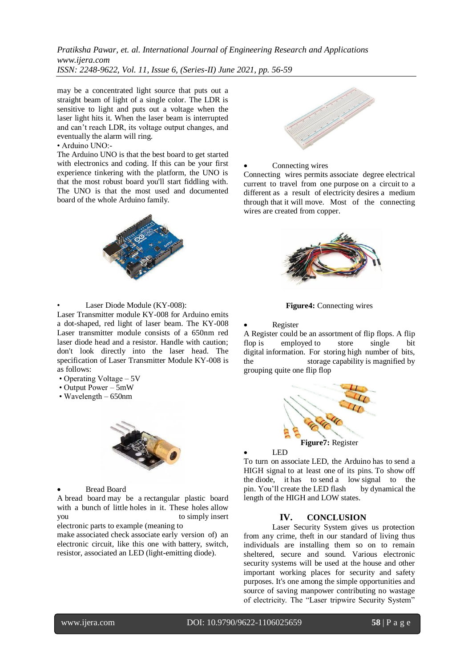may be a concentrated light source that puts out a straight beam of light of a single color. The LDR is sensitive to light and puts out a voltage when the laser light hits it. When the laser beam is interrupted and can't reach LDR, its voltage output changes, and eventually the alarm will ring.

### $\bullet$  Arduino  $IND$ :

The Arduino UNO is that the best board to get started with electronics and coding. If this can be your first experience tinkering with the platform, the UNO is that the most robust board you'll start fiddling with. The UNO is that the most used and documented board of the whole Arduino family.



Laser Diode Module (KY-008):

Laser Transmitter module KY-008 for Arduino emits a dot-shaped, red light of laser beam. The KY-008 Laser transmitter module consists of a 650nm red laser diode head and a resistor. Handle with caution; don't look directly into the laser head. The specification of Laser Transmitter Module KY-008 is as follows:

- Operating Voltage 5V
- Output Power 5mW
- Wavelength 650nm



Bread Board

A bread board may be a rectangular plastic board with a bunch of little holes in it. These holes allow you to simply insert electronic parts to example (meaning to

make associated check associate early version of) an electronic circuit, like this one with battery, switch, resistor, associated an LED (light-emitting diode).



Connecting wires

Connecting wires permits associate degree electrical current to travel from one purpose on a circuit to a different as a result of electricity desires a medium through that it will move. Most of the connecting wires are created from copper.



**Figure4:** Connecting wires

Register

A Register could be an assortment of flip flops. A flip flop is employed to store single bit digital information. For storing high number of bits, the storage capability is magnified by grouping quite one flip flop



#### LED

To turn on associate LED, the Arduino has to send a HIGH signal to at least one of its pins. To show off the diode, it has to send a low signal to the pin. You'll create the LED flash by dynamical the length of the HIGH and LOW states.

#### **IV. CONCLUSION**

Laser Security System gives us protection from any crime, theft in our standard of living thus individuals are installing them so on to remain sheltered, secure and sound. Various electronic security systems will be used at the house and other important working places for security and safety purposes. It's one among the simple opportunities and source of saving manpower contributing no wastage of electricity. The "Laser tripwire Security System"